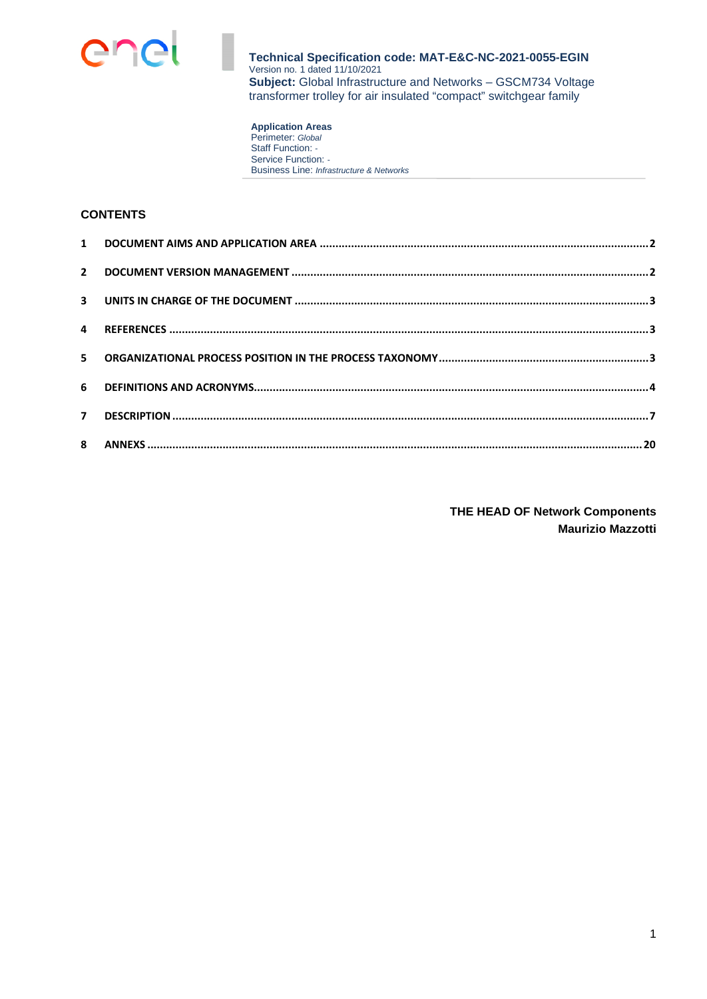

**Application Areas**  Perimeter: *Global* Staff Function: *-*  Service Function: *-*  Business Line: *Infrastructure & Networks*

## **CONTENTS**

**THE HEAD OF Network Components Maurizio Mazzotti**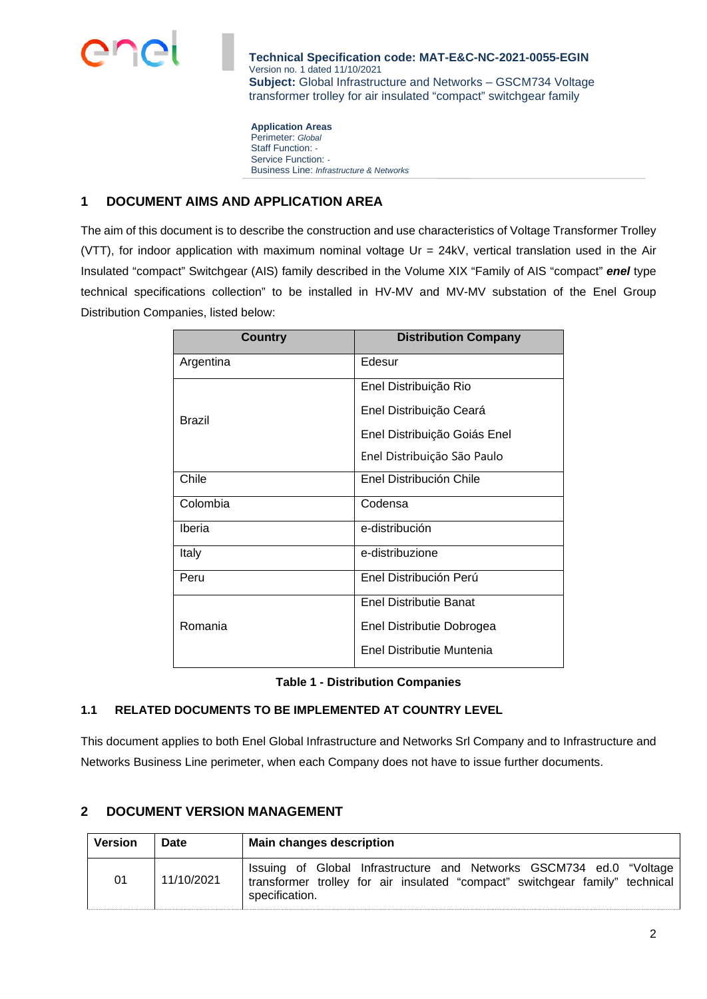

**Application Areas**  Perimeter: *Global* Staff Function: *-*  Service Function: *-*  Business Line: *Infrastructure & Networks*

## **1 DOCUMENT AIMS AND APPLICATION AREA**

The aim of this document is to describe the construction and use characteristics of Voltage Transformer Trolley (VTT), for indoor application with maximum nominal voltage Ur = 24kV, vertical translation used in the Air Insulated "compact" Switchgear (AIS) family described in the Volume XIX "Family of AIS "compact" *enel* type technical specifications collection" to be installed in HV-MV and MV-MV substation of the Enel Group Distribution Companies, listed below:

| <b>Country</b> | <b>Distribution Company</b>  |  |
|----------------|------------------------------|--|
| Argentina      | Edesur                       |  |
|                | Enel Distribuição Rio        |  |
| Brazil         | Enel Distribuição Ceará      |  |
|                | Enel Distribuição Goiás Enel |  |
|                | Enel Distribuição São Paulo  |  |
| Chile          | Enel Distribución Chile      |  |
| Colombia       | Codensa                      |  |
| <b>Iberia</b>  | e-distribución               |  |
| Italy          | e-distribuzione              |  |
| Peru           | Enel Distribución Perú       |  |
|                | Enel Distributie Banat       |  |
| Romania        | Enel Distributie Dobrogea    |  |
|                | Enel Distributie Muntenia    |  |

**Table 1 - Distribution Companies** 

## **1.1 RELATED DOCUMENTS TO BE IMPLEMENTED AT COUNTRY LEVEL**

This document applies to both Enel Global Infrastructure and Networks Srl Company and to Infrastructure and Networks Business Line perimeter, when each Company does not have to issue further documents.

## **2 DOCUMENT VERSION MANAGEMENT**

| <b>Version</b> | Date       | <b>Main changes description</b>                                                                                                                                       |  |  |  |
|----------------|------------|-----------------------------------------------------------------------------------------------------------------------------------------------------------------------|--|--|--|
| 01             | 11/10/2021 | Issuing of Global Infrastructure and Networks GSCM734 ed.0 "Voltage<br>transformer trolley for air insulated "compact" switchgear family" technical<br>specification. |  |  |  |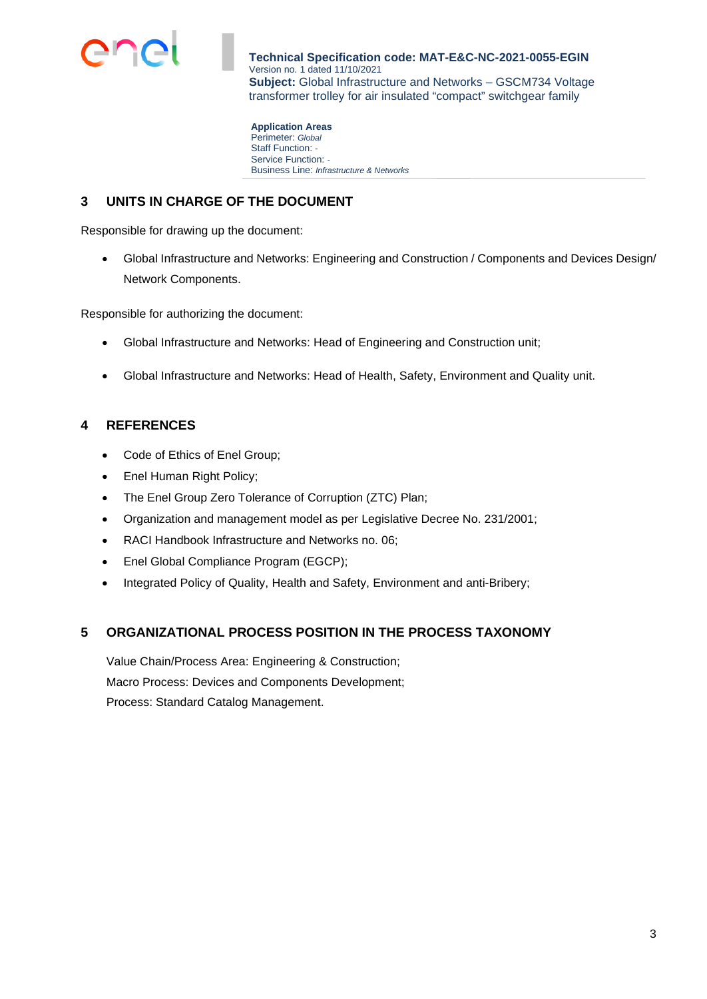

**Application Areas**  Perimeter: *Global* Staff Function: *-*  Service Function: *-*  Business Line: *Infrastructure & Networks*

## **3 UNITS IN CHARGE OF THE DOCUMENT**

Responsible for drawing up the document:

 Global Infrastructure and Networks: Engineering and Construction / Components and Devices Design/ Network Components.

Responsible for authorizing the document:

- Global Infrastructure and Networks: Head of Engineering and Construction unit;
- Global Infrastructure and Networks: Head of Health, Safety, Environment and Quality unit.

## **4 REFERENCES**

- Code of Ethics of Enel Group;
- Enel Human Right Policy;
- The Enel Group Zero Tolerance of Corruption (ZTC) Plan;
- Organization and management model as per Legislative Decree No. 231/2001;
- RACI Handbook Infrastructure and Networks no. 06;
- Enel Global Compliance Program (EGCP);
- Integrated Policy of Quality, Health and Safety, Environment and anti-Bribery;

## **5 ORGANIZATIONAL PROCESS POSITION IN THE PROCESS TAXONOMY**

Value Chain/Process Area: Engineering & Construction; Macro Process: Devices and Components Development; Process: Standard Catalog Management.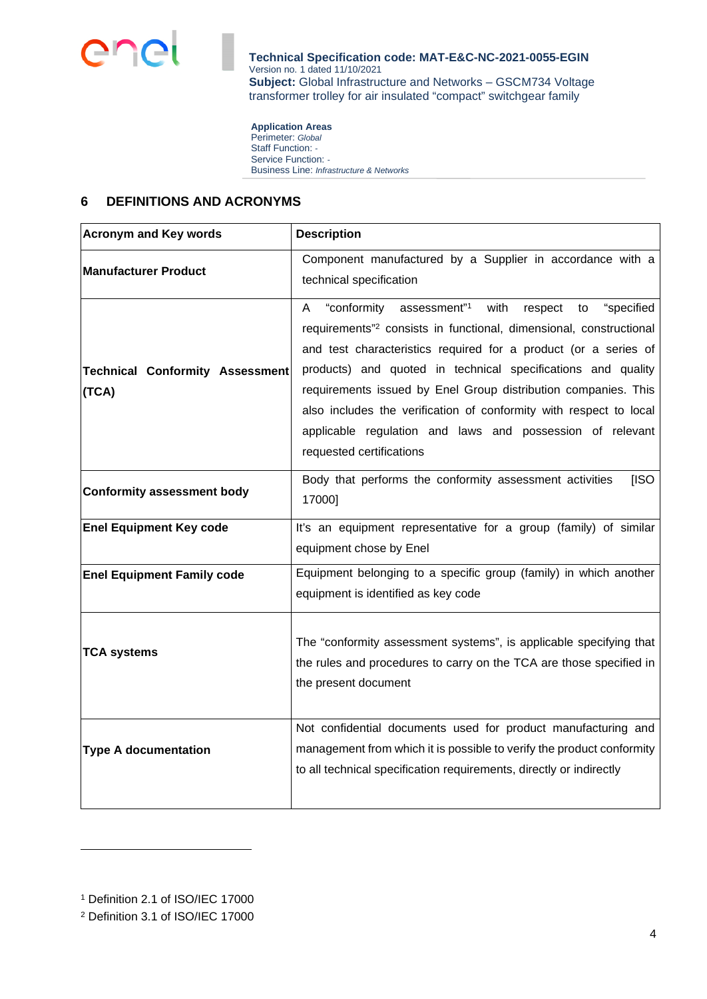

**Application Areas**  Perimeter: *Global* Staff Function: *-*  Service Function: *-*  Business Line: *Infrastructure & Networks*

## **6 DEFINITIONS AND ACRONYMS**

| <b>Acronym and Key words</b>                    | <b>Description</b>                                                                                                                                                                                                                                                                                                                                                                                                                                                                                                                        |  |  |
|-------------------------------------------------|-------------------------------------------------------------------------------------------------------------------------------------------------------------------------------------------------------------------------------------------------------------------------------------------------------------------------------------------------------------------------------------------------------------------------------------------------------------------------------------------------------------------------------------------|--|--|
| <b>Manufacturer Product</b>                     | Component manufactured by a Supplier in accordance with a<br>technical specification                                                                                                                                                                                                                                                                                                                                                                                                                                                      |  |  |
| <b>Technical Conformity Assessment</b><br>(TCA) | "conformity<br>assessment" <sup>1</sup><br>with<br>"specified<br>respect<br>A<br>to<br>requirements" <sup>2</sup> consists in functional, dimensional, constructional<br>and test characteristics required for a product (or a series of<br>products) and quoted in technical specifications and quality<br>requirements issued by Enel Group distribution companies. This<br>also includes the verification of conformity with respect to local<br>applicable regulation and laws and possession of relevant<br>requested certifications |  |  |
| <b>Conformity assessment body</b>               | Body that performs the conformity assessment activities<br>[ISO<br>17000]                                                                                                                                                                                                                                                                                                                                                                                                                                                                 |  |  |
| <b>Enel Equipment Key code</b>                  | It's an equipment representative for a group (family) of similar<br>equipment chose by Enel                                                                                                                                                                                                                                                                                                                                                                                                                                               |  |  |
| <b>Enel Equipment Family code</b>               | Equipment belonging to a specific group (family) in which another<br>equipment is identified as key code                                                                                                                                                                                                                                                                                                                                                                                                                                  |  |  |
| <b>TCA systems</b>                              | The "conformity assessment systems", is applicable specifying that<br>the rules and procedures to carry on the TCA are those specified in<br>the present document                                                                                                                                                                                                                                                                                                                                                                         |  |  |
| <b>Type A documentation</b>                     | Not confidential documents used for product manufacturing and<br>management from which it is possible to verify the product conformity<br>to all technical specification requirements, directly or indirectly                                                                                                                                                                                                                                                                                                                             |  |  |

<sup>1</sup> Definition 2.1 of ISO/IEC 17000

<sup>2</sup> Definition 3.1 of ISO/IEC 17000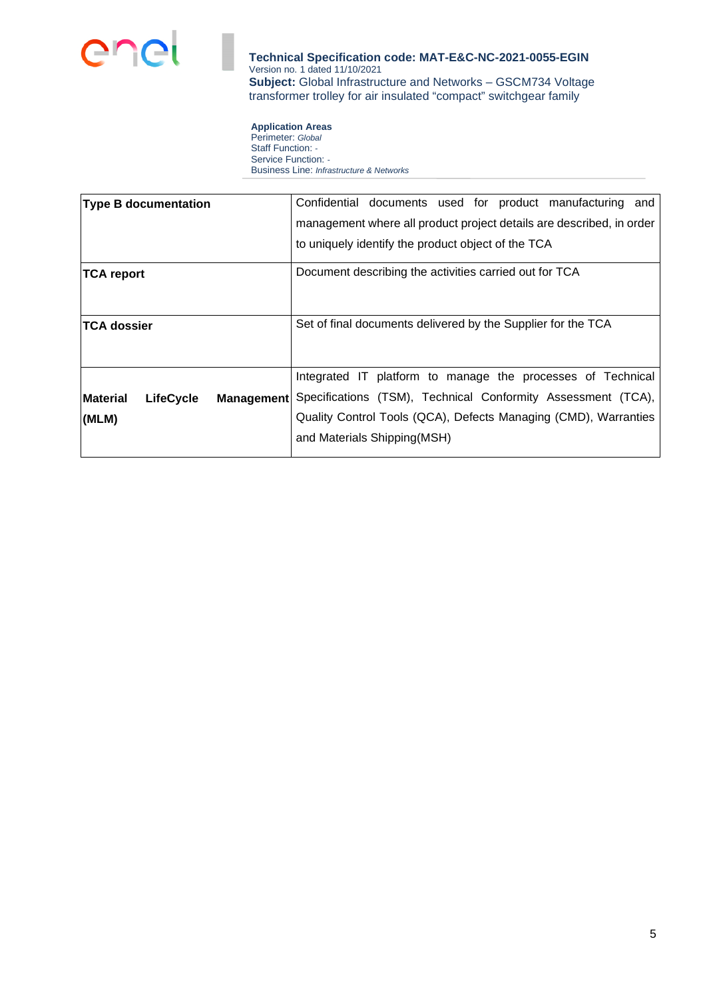

**Application Areas**  Perimeter: *Global* Staff Function: *-*  Service Function: *-*  Business Line: *Infrastructure & Networks*

| <b>Type B documentation</b>                              | Confidential documents used for product manufacturing and            |  |  |  |
|----------------------------------------------------------|----------------------------------------------------------------------|--|--|--|
|                                                          | management where all product project details are described, in order |  |  |  |
|                                                          | to uniquely identify the product object of the TCA                   |  |  |  |
| <b>TCA report</b>                                        | Document describing the activities carried out for TCA               |  |  |  |
| <b>TCA dossier</b>                                       | Set of final documents delivered by the Supplier for the TCA         |  |  |  |
|                                                          | Integrated IT platform to manage the processes of Technical          |  |  |  |
| <b>Material</b><br><b>LifeCycle</b><br><b>Management</b> | Specifications (TSM), Technical Conformity Assessment (TCA),         |  |  |  |
| (MLM)                                                    | Quality Control Tools (QCA), Defects Managing (CMD), Warranties      |  |  |  |
|                                                          | and Materials Shipping(MSH)                                          |  |  |  |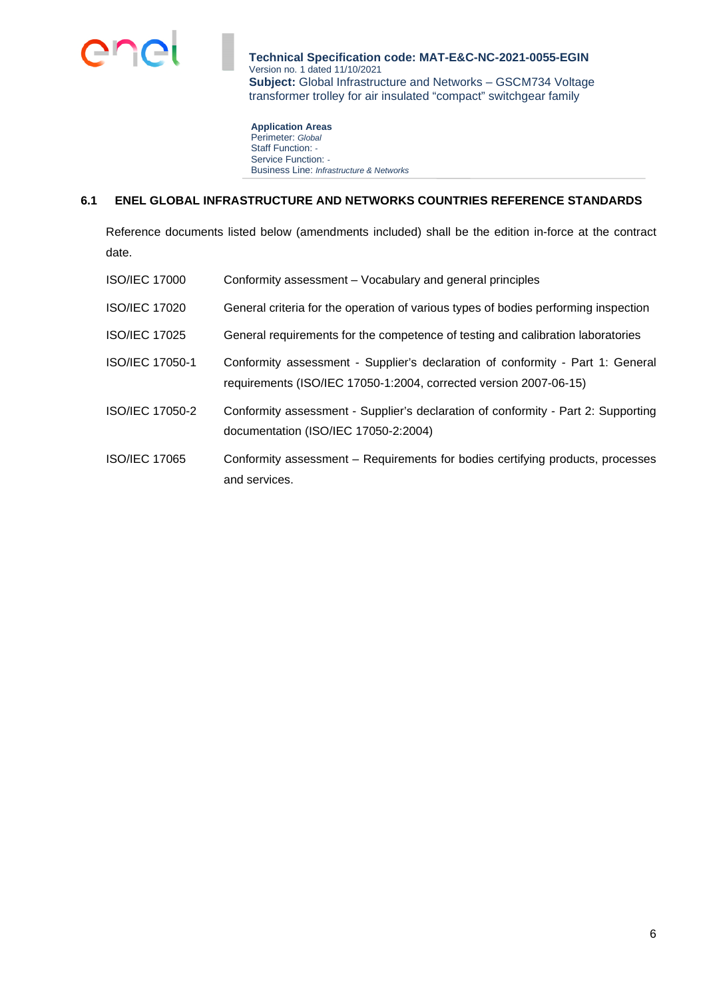

**Application Areas**  Perimeter: *Global* Staff Function: *-*  Service Function: *-*  Business Line: *Infrastructure & Networks*

#### **6.1 ENEL GLOBAL INFRASTRUCTURE AND NETWORKS COUNTRIES REFERENCE STANDARDS**

Reference documents listed below (amendments included) shall be the edition in-force at the contract date.

| <b>ISO/IEC 17000</b> | Conformity assessment – Vocabulary and general principles                                                                                           |
|----------------------|-----------------------------------------------------------------------------------------------------------------------------------------------------|
| <b>ISO/IEC 17020</b> | General criteria for the operation of various types of bodies performing inspection                                                                 |
| <b>ISO/IEC 17025</b> | General requirements for the competence of testing and calibration laboratories                                                                     |
| ISO/IEC 17050-1      | Conformity assessment - Supplier's declaration of conformity - Part 1: General<br>requirements (ISO/IEC 17050-1:2004, corrected version 2007-06-15) |
| ISO/IEC 17050-2      | Conformity assessment - Supplier's declaration of conformity - Part 2: Supporting<br>documentation (ISO/IEC 17050-2:2004)                           |
| <b>ISO/IEC 17065</b> | Conformity assessment – Requirements for bodies certifying products, processes<br>and services.                                                     |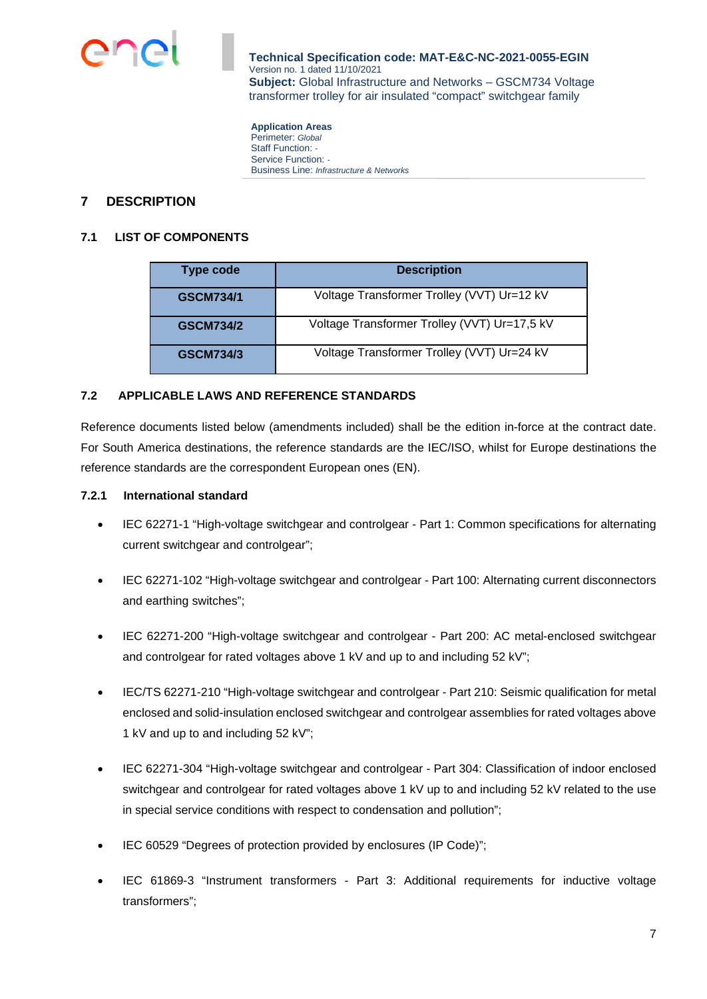

**Application Areas**  Perimeter: *Global* Staff Function: *-*  Service Function: *-*  Business Line: *Infrastructure & Networks*

## **7 DESCRIPTION**

#### **7.1 LIST OF COMPONENTS**

| Type code        | <b>Description</b>                           |  |  |  |
|------------------|----------------------------------------------|--|--|--|
| <b>GSCM734/1</b> | Voltage Transformer Trolley (VVT) Ur=12 kV   |  |  |  |
| <b>GSCM734/2</b> | Voltage Transformer Trolley (VVT) Ur=17,5 kV |  |  |  |
| <b>GSCM734/3</b> | Voltage Transformer Trolley (VVT) Ur=24 kV   |  |  |  |

#### **7.2 APPLICABLE LAWS AND REFERENCE STANDARDS**

Reference documents listed below (amendments included) shall be the edition in-force at the contract date. For South America destinations, the reference standards are the IEC/ISO, whilst for Europe destinations the reference standards are the correspondent European ones (EN).

#### **7.2.1 International standard**

- IEC 62271-1 "High-voltage switchgear and controlgear Part 1: Common specifications for alternating current switchgear and controlgear";
- IEC 62271-102 "High-voltage switchgear and controlgear Part 100: Alternating current disconnectors and earthing switches";
- IEC 62271-200 "High-voltage switchgear and controlgear Part 200: AC metal-enclosed switchgear and controlgear for rated voltages above 1 kV and up to and including 52 kV";
- IEC/TS 62271-210 "High-voltage switchgear and controlgear Part 210: Seismic qualification for metal enclosed and solid-insulation enclosed switchgear and controlgear assemblies for rated voltages above 1 kV and up to and including 52 kV";
- IEC 62271-304 "High-voltage switchgear and controlgear Part 304: Classification of indoor enclosed switchgear and controlgear for rated voltages above 1 kV up to and including 52 kV related to the use in special service conditions with respect to condensation and pollution";
- IEC 60529 "Degrees of protection provided by enclosures (IP Code)";
- IEC 61869-3 "Instrument transformers Part 3: Additional requirements for inductive voltage transformers";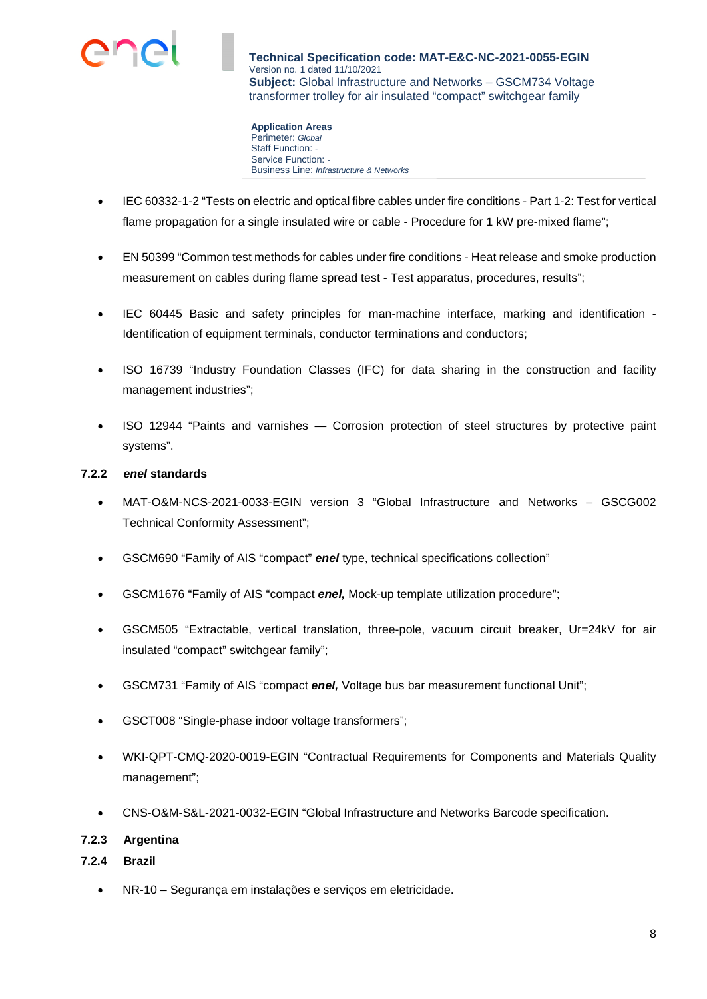

**Application Areas**  Perimeter: *Global* Staff Function: *-*  Service Function: *-*  Business Line: *Infrastructure & Networks*

- IEC 60332-1-2 "Tests on electric and optical fibre cables under fire conditions Part 1-2: Test for vertical flame propagation for a single insulated wire or cable - Procedure for 1 kW pre-mixed flame";
- EN 50399 "Common test methods for cables under fire conditions Heat release and smoke production measurement on cables during flame spread test - Test apparatus, procedures, results";
- IEC 60445 Basic and safety principles for man-machine interface, marking and identification Identification of equipment terminals, conductor terminations and conductors;
- ISO 16739 "Industry Foundation Classes (IFC) for data sharing in the construction and facility management industries";
- ISO 12944 "Paints and varnishes Corrosion protection of steel structures by protective paint systems".

## **7.2.2** *enel* **standards**

- MAT-O&M-NCS-2021-0033-EGIN version 3 "Global Infrastructure and Networks GSCG002 Technical Conformity Assessment";
- GSCM690 "Family of AIS "compact" *enel* type, technical specifications collection"
- GSCM1676 "Family of AIS "compact *enel,* Mock-up template utilization procedure";
- GSCM505 "Extractable, vertical translation, three-pole, vacuum circuit breaker, Ur=24kV for air insulated "compact" switchgear family";
- GSCM731 "Family of AIS "compact *enel,* Voltage bus bar measurement functional Unit";
- GSCT008 "Single-phase indoor voltage transformers";
- WKI-QPT-CMQ-2020-0019-EGIN "Contractual Requirements for Components and Materials Quality management";
- CNS-O&M-S&L-2021-0032-EGIN "Global Infrastructure and Networks Barcode specification.

## **7.2.3 Argentina**

## **7.2.4 Brazil**

NR-10 – Segurança em instalações e serviços em eletricidade.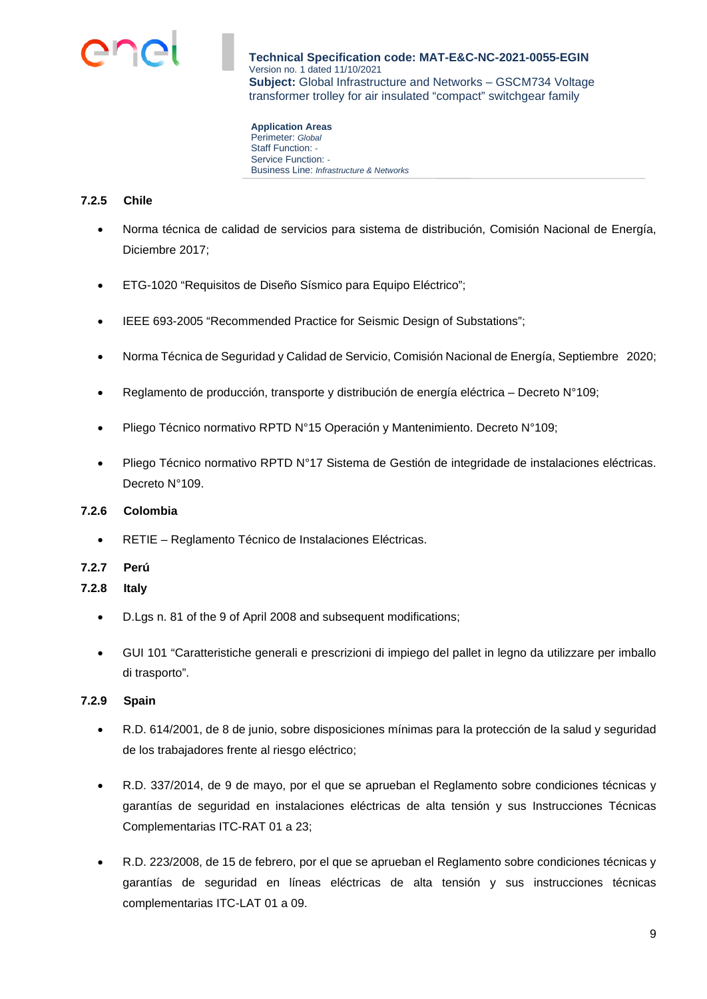

**Application Areas**  Perimeter: *Global* Staff Function: *-*  Service Function: *-*  Business Line: *Infrastructure & Networks*

## **7.2.5 Chile**

- Norma técnica de calidad de servicios para sistema de distribución, Comisión Nacional de Energía, Diciembre 2017;
- ETG-1020 "Requisitos de Diseño Sísmico para Equipo Eléctrico";
- IEEE 693-2005 "Recommended Practice for Seismic Design of Substations";
- Norma Técnica de Seguridad y Calidad de Servicio, Comisión Nacional de Energía, Septiembre 2020;
- Reglamento de producción, transporte y distribución de energía eléctrica Decreto N°109;
- Pliego Técnico normativo RPTD N°15 Operación y Mantenimiento. Decreto N°109;
- Pliego Técnico normativo RPTD N°17 Sistema de Gestión de integridade de instalaciones eléctricas. Decreto N°109.

## **7.2.6 Colombia**

- RETIE Reglamento Técnico de Instalaciones Eléctricas.
- **7.2.7 Perú**

## **7.2.8 Italy**

- D.Lgs n. 81 of the 9 of April 2008 and subsequent modifications;
- GUI 101 "Caratteristiche generali e prescrizioni di impiego del pallet in legno da utilizzare per imballo di trasporto".

## **7.2.9 Spain**

- R.D. 614/2001, de 8 de junio, sobre disposiciones mínimas para la protección de la salud y seguridad de los trabajadores frente al riesgo eléctrico;
- R.D. 337/2014, de 9 de mayo, por el que se aprueban el Reglamento sobre condiciones técnicas y garantías de seguridad en instalaciones eléctricas de alta tensión y sus Instrucciones Técnicas Complementarias ITC-RAT 01 a 23;
- R.D. 223/2008, de 15 de febrero, por el que se aprueban el Reglamento sobre condiciones técnicas y garantías de seguridad en líneas eléctricas de alta tensión y sus instrucciones técnicas complementarias ITC-LAT 01 a 09.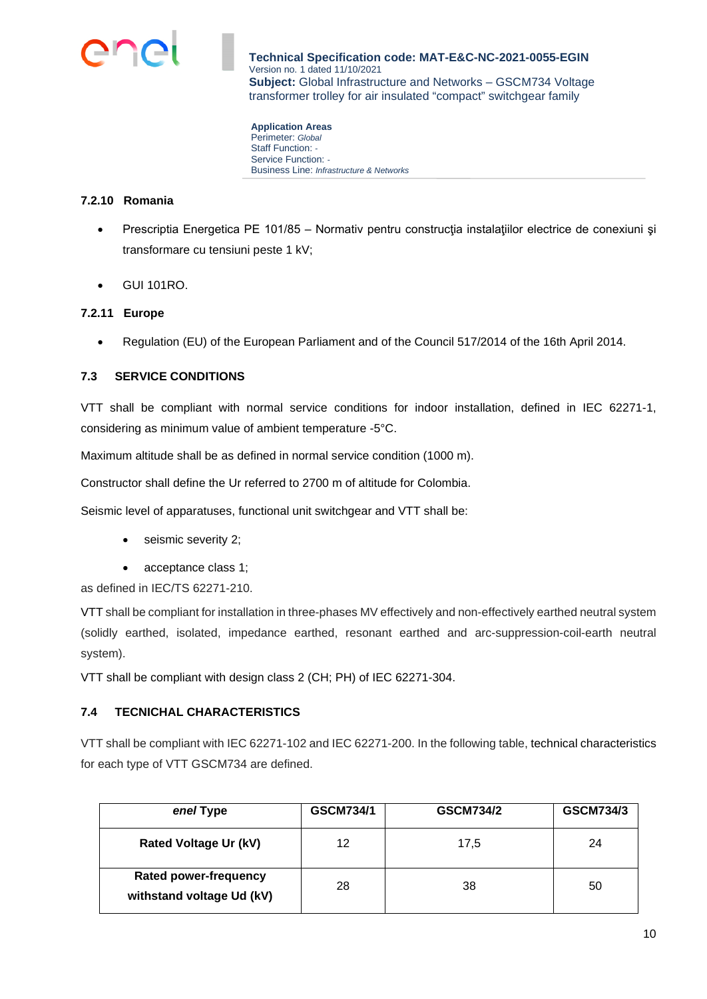

**Application Areas**  Perimeter: *Global* Staff Function: *-*  Service Function: *-*  Business Line: *Infrastructure & Networks*

## **7.2.10 Romania**

- Prescriptia Energetica PE 101/85 Normativ pentru constructia instalatiilor electrice de conexiuni și transformare cu tensiuni peste 1 kV;
- GUI 101RO.

## **7.2.11 Europe**

• Regulation (EU) of the European Parliament and of the Council 517/2014 of the 16th April 2014.

## **7.3 SERVICE CONDITIONS**

VTT shall be compliant with normal service conditions for indoor installation, defined in IEC 62271-1, considering as minimum value of ambient temperature -5°C.

Maximum altitude shall be as defined in normal service condition (1000 m).

Constructor shall define the Ur referred to 2700 m of altitude for Colombia.

Seismic level of apparatuses, functional unit switchgear and VTT shall be:

- seismic severity 2;
- acceptance class 1;

as defined in IEC/TS 62271-210.

VTT shall be compliant for installation in three-phases MV effectively and non-effectively earthed neutral system (solidly earthed, isolated, impedance earthed, resonant earthed and arc-suppression-coil-earth neutral system).

VTT shall be compliant with design class 2 (CH; PH) of IEC 62271-304.

## **7.4 TECNICHAL CHARACTERISTICS**

VTT shall be compliant with IEC 62271-102 and IEC 62271-200. In the following table, technical characteristics for each type of VTT GSCM734 are defined.

| enel Type                                                 | <b>GSCM734/1</b> | <b>GSCM734/2</b> | <b>GSCM734/3</b> |
|-----------------------------------------------------------|------------------|------------------|------------------|
| <b>Rated Voltage Ur (kV)</b>                              | 12               | 17,5             | 24               |
| <b>Rated power-frequency</b><br>withstand voltage Ud (kV) | 28               | 38               | 50               |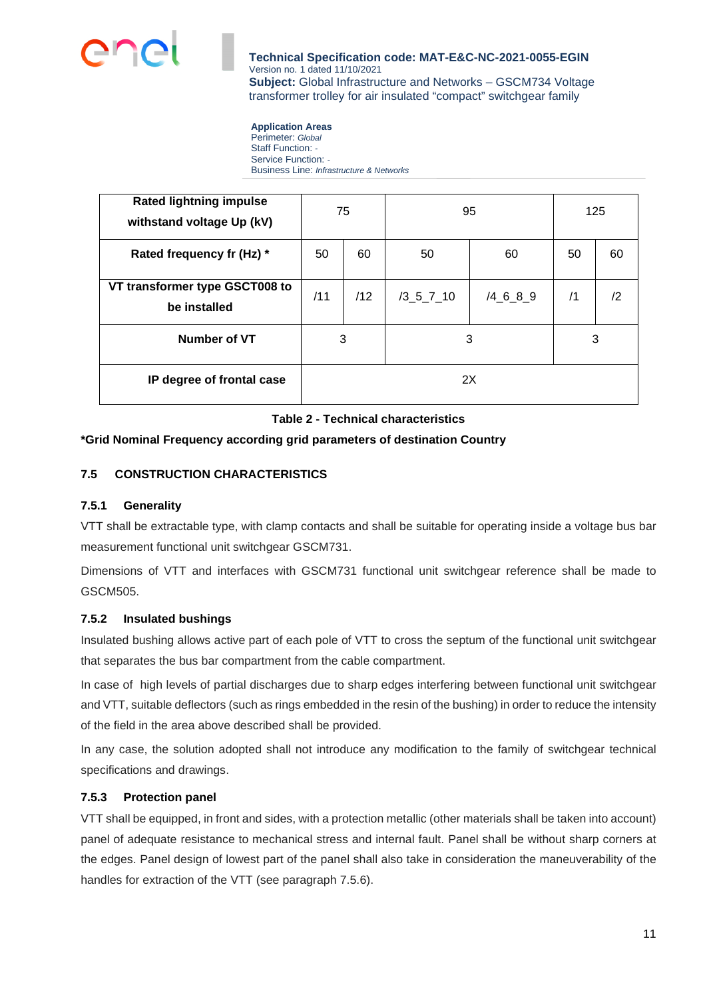

# **Application Areas**

Perimeter: *Global* Staff Function: *-*  Service Function: *-*  Business Line: *Infrastructure & Networks*

| <b>Rated lightning impulse</b><br>withstand voltage Up (kV) | 75  |     | 95          |            | 125 |               |
|-------------------------------------------------------------|-----|-----|-------------|------------|-----|---------------|
| Rated frequency fr (Hz) *                                   | 50  | 60  | 50          | 60         | 50  | 60            |
| VT transformer type GSCT008 to<br>be installed              | /11 | /12 | $/3$ 5 7 10 | $/4$ 6 8 9 | /1  | $\mathbf{12}$ |
| Number of VT                                                | 3   |     | 3           |            | 3   |               |
| IP degree of frontal case                                   | 2X  |     |             |            |     |               |

## **Table 2 - Technical characteristics**

## **\*Grid Nominal Frequency according grid parameters of destination Country**

## **7.5 CONSTRUCTION CHARACTERISTICS**

## **7.5.1 Generality**

VTT shall be extractable type, with clamp contacts and shall be suitable for operating inside a voltage bus bar measurement functional unit switchgear GSCM731.

Dimensions of VTT and interfaces with GSCM731 functional unit switchgear reference shall be made to GSCM505.

## **7.5.2 Insulated bushings**

Insulated bushing allows active part of each pole of VTT to cross the septum of the functional unit switchgear that separates the bus bar compartment from the cable compartment.

In case of high levels of partial discharges due to sharp edges interfering between functional unit switchgear and VTT, suitable deflectors (such as rings embedded in the resin of the bushing) in order to reduce the intensity of the field in the area above described shall be provided.

In any case, the solution adopted shall not introduce any modification to the family of switchgear technical specifications and drawings.

## **7.5.3 Protection panel**

VTT shall be equipped, in front and sides, with a protection metallic (other materials shall be taken into account) panel of adequate resistance to mechanical stress and internal fault. Panel shall be without [sharp](https://dictionary.cambridge.org/it/dizionario/inglese-italiano/sharp) corners at the edges. Panel design of lowest part of the panel shall also take in consideration the maneuverability of the handles for extraction of the VTT (see paragraph 7.5.6).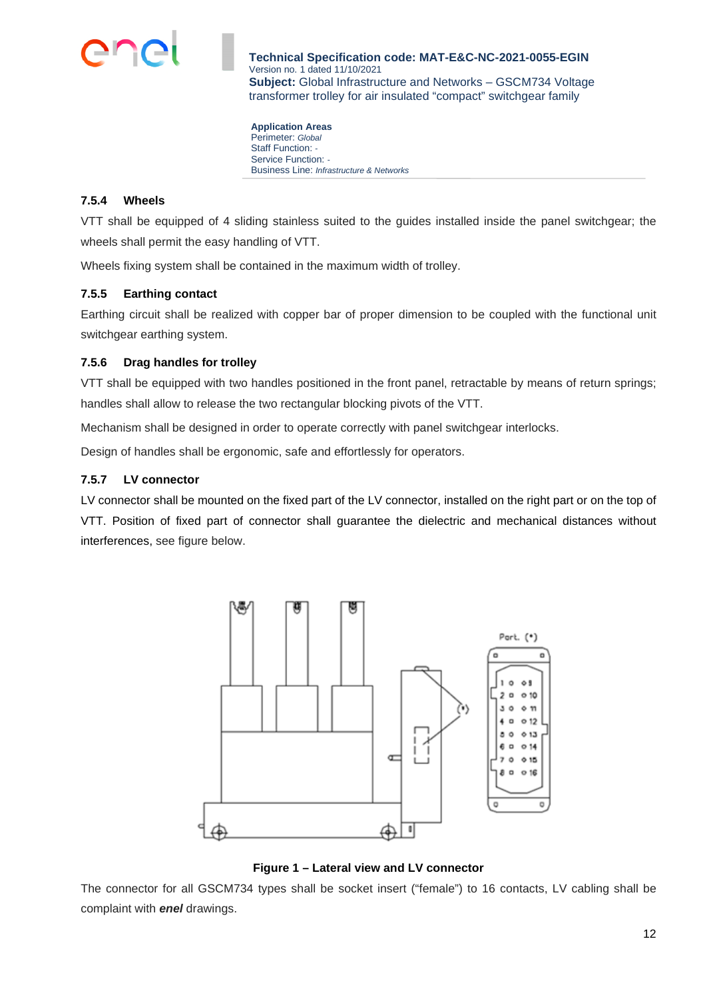

**Application Areas**  Perimeter: *Global* Staff Function: *-*  Service Function: *-*  Business Line: *Infrastructure & Networks*

## **7.5.4 Wheels**

VTT shall be equipped of 4 sliding stainless suited to the guides installed inside the panel switchgear; the wheels shall permit the easy handling of VTT.

Wheels fixing system shall be contained in the maximum width of trolley.

## **7.5.5 Earthing contact**

Earthing circuit shall be realized with copper bar of proper dimension to be coupled with the functional unit switchgear earthing system.

## **7.5.6 Drag handles for trolley**

VTT shall be equipped with two handles positioned in the front panel, retractable by means of return springs; handles shall allow to release the two rectangular blocking pivots of the VTT.

Mechanism shall be designed in order to operate correctly with panel switchgear interlocks.

Design of handles shall be ergonomic, safe and effortlessly for operators.

## **7.5.7 LV connector**

LV connector shall be mounted on the fixed part of the LV connector, installed on the right part or on the top of VTT. Position of fixed part of connector shall guarantee the dielectric and mechanical distances without interferences, see figure below.



**Figure 1 – Lateral view and LV connector** 

The connector for all GSCM734 types shall be socket insert ("female") to 16 contacts, LV cabling shall be complaint with *enel* drawings.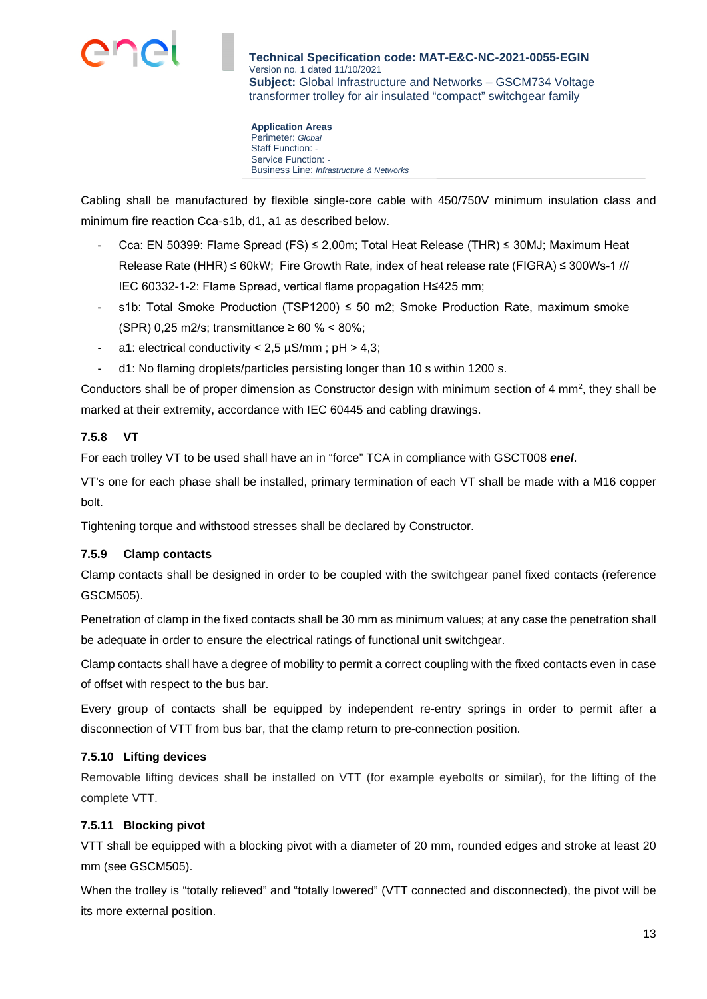

**Application Areas**  Perimeter: *Global* Staff Function: *-*  Service Function: *-*  Business Line: *Infrastructure & Networks*

Cabling shall be manufactured by flexible single-core cable with 450/750V minimum insulation class and minimum fire reaction Cca‐s1b, d1, a1 as described below.

- Cca: EN 50399: Flame Spread (FS) ≤ 2,00m; Total Heat Release (THR) ≤ 30MJ; Maximum Heat Release Rate (HHR) ≤ 60kW; Fire Growth Rate, index of heat release rate (FIGRA) ≤ 300Ws-1 /// IEC 60332-1-2: Flame Spread, vertical flame propagation H≤425 mm;
- s1b: Total Smoke Production (TSP1200)  $\leq$  50 m2; Smoke Production Rate, maximum smoke (SPR) 0,25 m2/s; transmittance ≥ 60 % < 80%;
- a1: electrical conductivity  $< 2.5 \mu S/mm$ ; pH  $> 4.3$ ;
- d1: No flaming droplets/particles persisting longer than 10 s within 1200 s.

Conductors shall be of proper dimension as Constructor design with minimum section of 4 mm<sup>2</sup>, they shall be marked at their extremity, accordance with IEC 60445 and cabling drawings.

## **7.5.8 VT**

For each trolley VT to be used shall have an in "force" TCA in compliance with GSCT008 *enel*.

VT's one for each phase shall be installed, primary termination of each VT shall be made with a M16 copper bolt.

Tightening torque and withstood stresses shall be declared by Constructor.

## **7.5.9 Clamp contacts**

Clamp contacts shall be designed in order to be coupled with the switchgear panel fixed contacts (reference GSCM505).

Penetration of clamp in the fixed contacts shall be 30 mm as minimum values; at any case the penetration shall be adequate in order to ensure the electrical ratings of functional unit switchgear.

Clamp contacts shall have a degree of mobility to permit a correct coupling with the fixed contacts even in case of offset with respect to the bus bar.

Every group of contacts shall be equipped by independent re-entry springs in order to permit after a disconnection of VTT from bus bar, that the clamp return to pre-connection position.

## **7.5.10 Lifting devices**

Removable lifting devices shall be installed on VTT (for example eyebolts or similar), for the lifting of the complete VTT.

## **7.5.11 Blocking pivot**

VTT shall be equipped with a blocking pivot with a diameter of 20 mm, rounded edges and stroke at least 20 mm (see GSCM505).

When the trolley is "totally relieved" and "totally lowered" (VTT connected and disconnected), the pivot will be its more external position.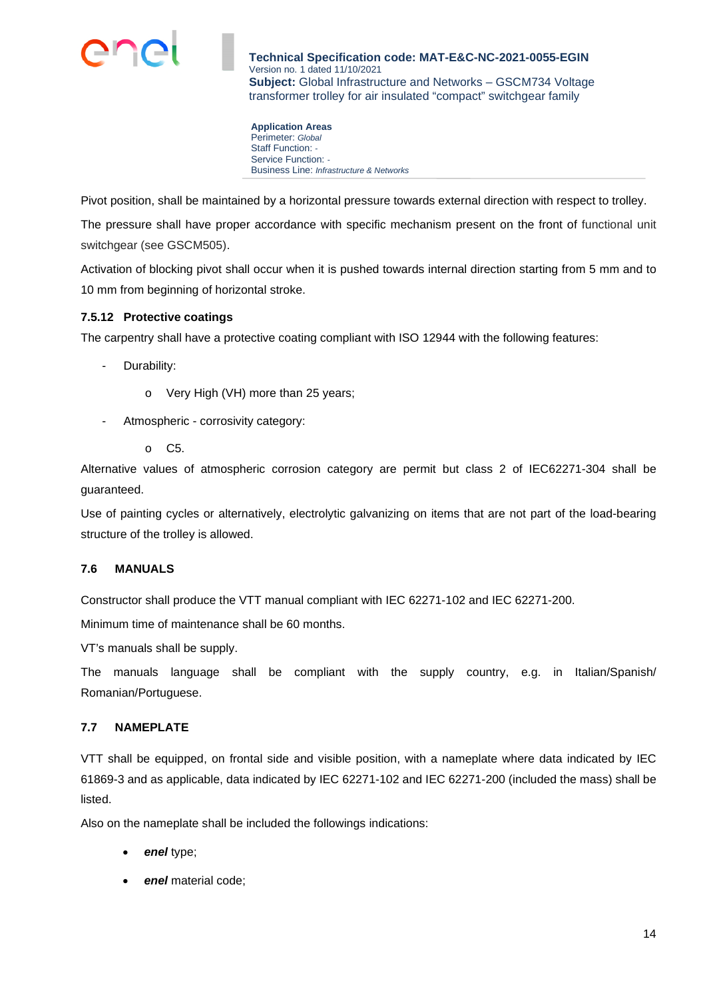

**Application Areas**  Perimeter: *Global* Staff Function: *-*  Service Function: *-*  Business Line: *Infrastructure & Networks*

Pivot position, shall be maintained by a horizontal pressure towards external direction with respect to trolley.

The pressure shall have proper accordance with specific mechanism present on the front of functional unit switchgear (see GSCM505).

Activation of blocking pivot shall occur when it is pushed towards internal direction starting from 5 mm and to 10 mm from beginning of horizontal stroke.

## **7.5.12 Protective coatings**

The carpentry shall have a protective coating compliant with ISO 12944 with the following features:

- Durability:
	- o Very High (VH) more than 25 years;
- Atmospheric corrosivity category:
	- o C5.

Alternative values of atmospheric corrosion category are permit but class 2 of IEC62271-304 shall be guaranteed.

Use of painting cycles or alternatively, electrolytic galvanizing on items that are not part of the load-bearing structure of the trolley is allowed.

## **7.6 MANUALS**

Constructor shall produce the VTT manual compliant with IEC 62271-102 and IEC 62271-200.

Minimum time of maintenance shall be 60 months.

VT's manuals shall be supply.

The manuals language shall be compliant with the supply country, e.g. in Italian/Spanish/ Romanian/Portuguese.

## **7.7 NAMEPLATE**

VTT shall be equipped, on frontal side and visible position, with a nameplate where data indicated by IEC 61869-3 and as applicable, data indicated by IEC 62271-102 and IEC 62271-200 (included the mass) shall be listed.

Also on the nameplate shall be included the followings indications:

- *enel* type;
- *enel* material code;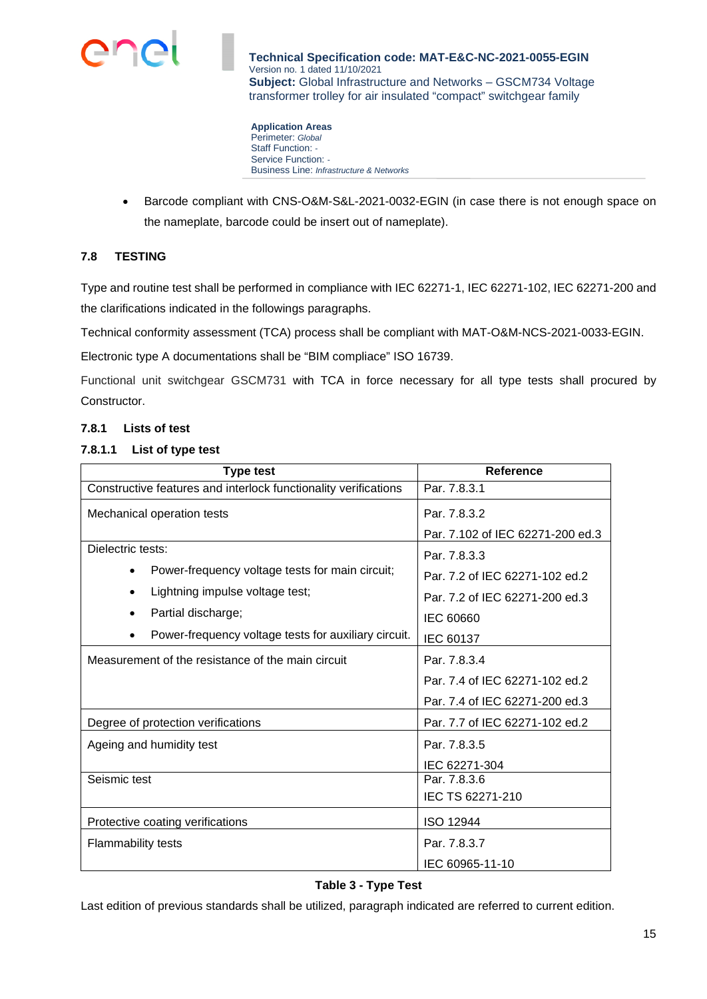

**Application Areas**  Perimeter: *Global* Staff Function: *-*  Service Function: *-*  Business Line: *Infrastructure & Networks*

• Barcode compliant with CNS-O&M-S&L-2021-0032-EGIN (in case there is not enough space on the nameplate, barcode could be insert out of nameplate).

## **7.8 TESTING**

Type and routine test shall be performed in compliance with IEC 62271-1, IEC 62271-102, IEC 62271-200 and the clarifications indicated in the followings paragraphs.

Technical conformity assessment (TCA) process shall be compliant with MAT-O&M-NCS-2021-0033-EGIN.

Electronic type A documentations shall be "BIM compliace" ISO 16739.

Functional unit switchgear GSCM731 with TCA in force necessary for all type tests shall procured by Constructor.

#### **7.8.1 Lists of test**

#### **7.8.1.1 List of type test**

| <b>Type test</b>                                                | Reference                        |  |
|-----------------------------------------------------------------|----------------------------------|--|
| Constructive features and interlock functionality verifications | Par. 7.8.3.1                     |  |
| Mechanical operation tests                                      | Par. 7.8.3.2                     |  |
|                                                                 | Par. 7.102 of IEC 62271-200 ed.3 |  |
| Dielectric tests:                                               | Par. 7.8.3.3                     |  |
| Power-frequency voltage tests for main circuit;<br>٠            | Par. 7.2 of IEC 62271-102 ed.2   |  |
| Lightning impulse voltage test;<br>٠                            | Par. 7.2 of IEC 62271-200 ed.3   |  |
| Partial discharge;                                              | IEC 60660                        |  |
| Power-frequency voltage tests for auxiliary circuit.<br>٠       | IEC 60137                        |  |
| Measurement of the resistance of the main circuit               | Par. 7.8.3.4                     |  |
|                                                                 | Par. 7.4 of IEC 62271-102 ed.2   |  |
|                                                                 | Par. 7.4 of IEC 62271-200 ed.3   |  |
| Degree of protection verifications                              | Par. 7.7 of IEC 62271-102 ed.2   |  |
| Ageing and humidity test                                        | Par. 7.8.3.5                     |  |
|                                                                 | IEC 62271-304                    |  |
| Seismic test                                                    | Par. 7.8.3.6                     |  |
|                                                                 | IEC TS 62271-210                 |  |
| Protective coating verifications                                | <b>ISO 12944</b>                 |  |
| <b>Flammability tests</b>                                       | Par. 7.8.3.7                     |  |
|                                                                 | IEC 60965-11-10                  |  |

## **Table 3 - Type Test**

Last edition of previous standards shall be utilized, paragraph indicated are referred to current edition.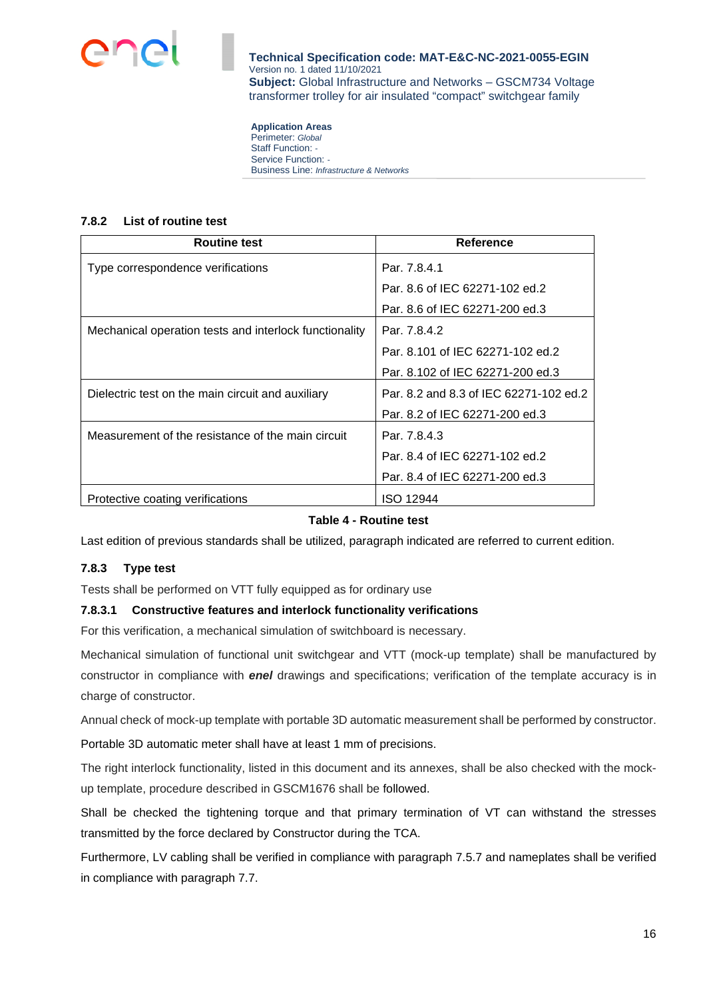

**Application Areas**  Perimeter: *Global* Staff Function: *-*  Service Function: *-*  Business Line: *Infrastructure & Networks*

#### **7.8.2 List of routine test**

| <b>Routine test</b>                                    | Reference                              |
|--------------------------------------------------------|----------------------------------------|
| Type correspondence verifications                      | Par. 7.8.4.1                           |
|                                                        | Par. 8.6 of IEC 62271-102 ed.2         |
|                                                        | Par, 8.6 of IEC 62271-200 ed.3         |
| Mechanical operation tests and interlock functionality | Par. 7.8.4.2                           |
|                                                        | Par. 8.101 of IEC 62271-102 ed.2       |
|                                                        | Par. 8.102 of IEC 62271-200 ed.3       |
| Dielectric test on the main circuit and auxiliary      | Par. 8.2 and 8.3 of IEC 62271-102 ed.2 |
|                                                        | Par. 8.2 of IEC 62271-200 ed.3         |
| Measurement of the resistance of the main circuit      | Par. 7.8.4.3                           |
|                                                        | Par. 8.4 of IEC 62271-102 ed.2         |
|                                                        | Par. 8.4 of IEC 62271-200 ed.3         |
| Protective coating verifications                       | <b>ISO 12944</b>                       |

## **Table 4 - Routine test**

Last edition of previous standards shall be utilized, paragraph indicated are referred to current edition.

## **7.8.3 Type test**

Tests shall be performed on VTT fully equipped as for ordinary use

#### **7.8.3.1 Constructive features and interlock functionality verifications**

For this verification, a mechanical simulation of switchboard is necessary.

Mechanical simulation of functional unit switchgear and VTT (mock-up template) shall be manufactured by constructor in compliance with *enel* drawings and specifications; verification of the template accuracy is in charge of constructor.

Annual check of mock-up template with portable 3D automatic measurement shall be performed by constructor.

Portable 3D automatic meter shall have at least 1 mm of precisions.

The right interlock functionality, listed in this document and its annexes, shall be also checked with the mockup template, procedure described in GSCM1676 shall be followed.

Shall be checked the tightening torque and that primary termination of VT can withstand the stresses transmitted by the force declared by Constructor during the TCA.

Furthermore, LV cabling shall be verified in compliance with paragraph 7.5.7 and nameplates shall be verified in compliance with paragraph 7.7.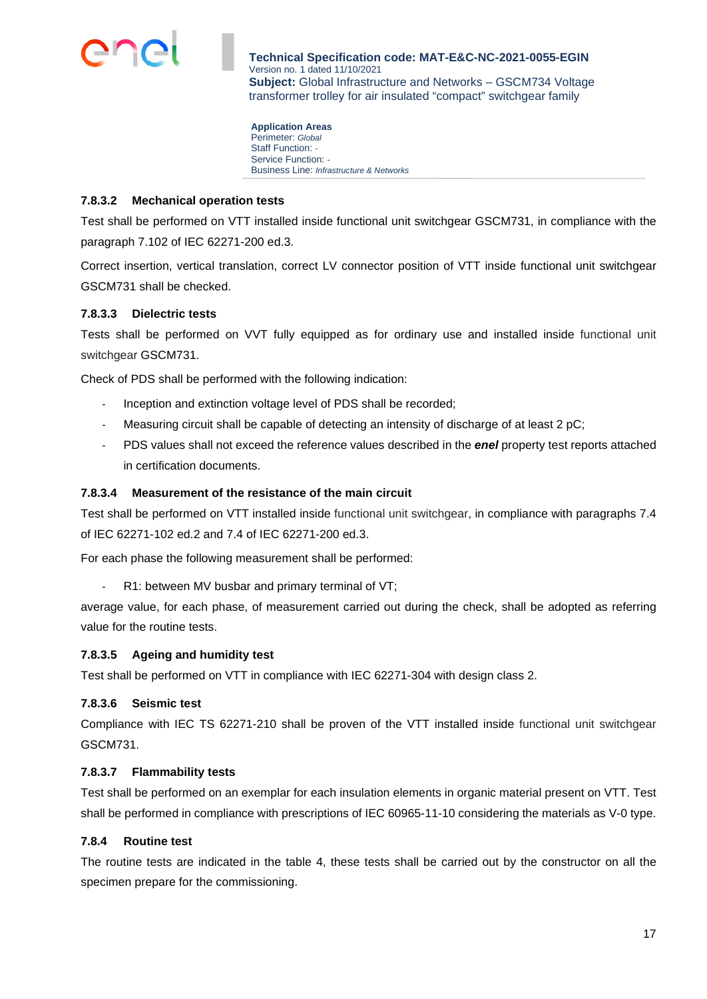

**Application Areas**  Perimeter: *Global* Staff Function: *-*  Service Function: *-*  Business Line: *Infrastructure & Networks*

#### **7.8.3.2 Mechanical operation tests**

Test shall be performed on VTT installed inside functional unit switchgear GSCM731, in compliance with the paragraph 7.102 of IEC 62271-200 ed.3.

Correct insertion, vertical translation, correct LV connector position of VTT inside functional unit switchgear GSCM731 shall be checked.

#### **7.8.3.3 Dielectric tests**

Tests shall be performed on VVT fully equipped as for ordinary use and installed inside functional unit switchgear GSCM731.

Check of PDS shall be performed with the following indication:

- Inception and extinction voltage level of PDS shall be recorded;
- Measuring circuit shall be capable of detecting an intensity of discharge of at least 2 pC;
- PDS values shall not exceed the reference values described in the *enel* property test reports attached in certification documents.

## **7.8.3.4 Measurement of the resistance of the main circuit**

Test shall be performed on VTT installed inside functional unit switchgear, in compliance with paragraphs 7.4 of IEC 62271-102 ed.2 and 7.4 of IEC 62271-200 ed.3.

For each phase the following measurement shall be performed:

R1: between MV busbar and primary terminal of VT;

average value, for each phase, of measurement carried out during the check, shall be adopted as referring value for the routine tests.

#### **7.8.3.5 Ageing and humidity test**

Test shall be performed on VTT in compliance with IEC 62271-304 with design class 2.

#### **7.8.3.6 Seismic test**

Compliance with IEC TS 62271-210 shall be proven of the VTT installed inside functional unit switchgear GSCM731.

#### **7.8.3.7 Flammability tests**

Test shall be performed on an exemplar for each insulation elements in organic material present on VTT. Test shall be performed in compliance with prescriptions of IEC 60965-11-10 considering the materials as V-0 type.

#### **7.8.4 Routine test**

The routine tests are indicated in the table 4, these tests shall be carried out by the constructor on all the specimen prepare for the commissioning.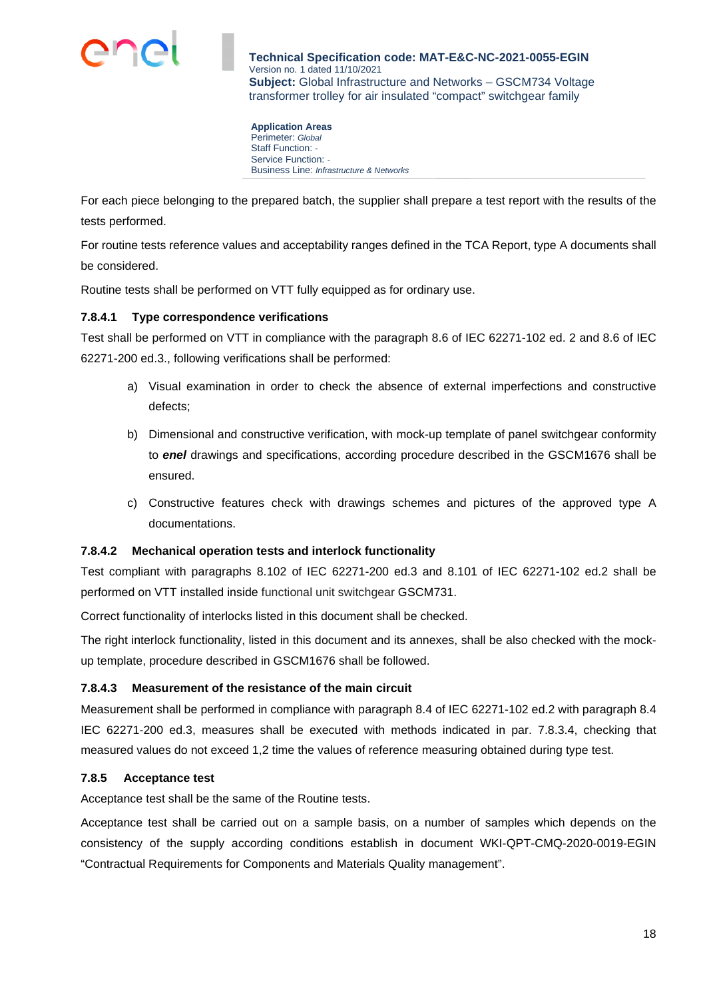

**Application Areas**  Perimeter: *Global* Staff Function: *-*  Service Function: *-*  Business Line: *Infrastructure & Networks*

For each piece belonging to the prepared batch, the supplier shall prepare a test report with the results of the tests performed.

For routine tests reference values and acceptability ranges defined in the TCA Report, type A documents shall be considered.

Routine tests shall be performed on VTT fully equipped as for ordinary use.

## **7.8.4.1 Type correspondence verifications**

Test shall be performed on VTT in compliance with the paragraph 8.6 of IEC 62271-102 ed. 2 and 8.6 of IEC 62271-200 ed.3., following verifications shall be performed:

- a) Visual examination in order to check the absence of external imperfections and constructive defects;
- b) Dimensional and constructive verification, with mock-up template of panel switchgear conformity to *enel* drawings and specifications, according procedure described in the GSCM1676 shall be ensured.
- c) Constructive features check with drawings schemes and pictures of the approved type A documentations.

## **7.8.4.2 Mechanical operation tests and interlock functionality**

Test compliant with paragraphs 8.102 of IEC 62271-200 ed.3 and 8.101 of IEC 62271-102 ed.2 shall be performed on VTT installed inside functional unit switchgear GSCM731.

Correct functionality of interlocks listed in this document shall be checked.

The right interlock functionality, listed in this document and its annexes, shall be also checked with the mockup template, procedure described in GSCM1676 shall be followed.

## **7.8.4.3 Measurement of the resistance of the main circuit**

Measurement shall be performed in compliance with paragraph 8.4 of IEC 62271-102 ed.2 with paragraph 8.4 IEC 62271-200 ed.3, measures shall be executed with methods indicated in par. 7.8.3.4, checking that measured values do not exceed 1,2 time the values of reference measuring obtained during type test.

## **7.8.5 Acceptance test**

Acceptance test shall be the same of the Routine tests.

Acceptance test shall be carried out on a sample basis, on a number of samples which depends on the consistency of the supply according conditions establish in document WKI-QPT-CMQ-2020-0019-EGIN "Contractual Requirements for Components and Materials Quality management".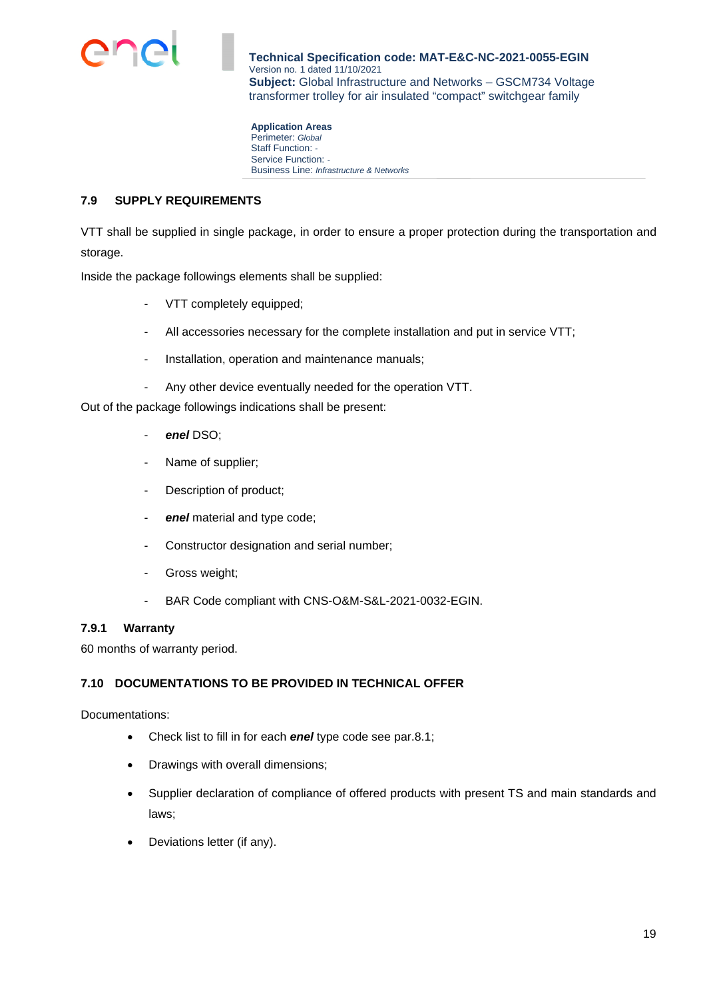

**Application Areas**  Perimeter: *Global* Staff Function: *-*  Service Function: *-*  Business Line: *Infrastructure & Networks*

## **7.9 SUPPLY REQUIREMENTS**

VTT shall be supplied in single package, in order to ensure a proper protection during the transportation and storage.

Inside the package followings elements shall be supplied:

- VTT completely equipped;
- All accessories necessary for the complete installation and put in service VTT;
- Installation, operation and maintenance manuals;
- Any other device eventually needed for the operation VTT.

Out of the package followings indications shall be present:

- *enel* DSO;
- Name of supplier;
- Description of product;
- *enel* material and type code;
- Constructor designation and serial number;
- Gross weight;
- BAR Code compliant with CNS-O&M-S&L-2021-0032-EGIN.

#### **7.9.1 Warranty**

60 months of warranty period.

#### **7.10 DOCUMENTATIONS TO BE PROVIDED IN TECHNICAL OFFER**

Documentations:

- Check list to fill in for each *enel* type code see par.8.1;
- Drawings with overall dimensions;
- Supplier declaration of compliance of offered products with present TS and main standards and laws;
- Deviations letter (if any).